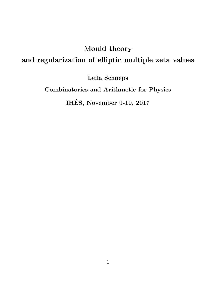# Mould theory and regularization of elliptic multiple zeta values

Leila Schneps

Combinatorics and Arithmetic for Physics

IHES, November 9-10, 2017 ´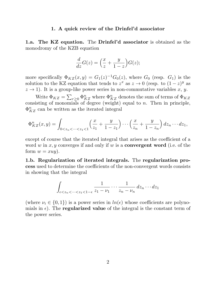#### 1. A quick review of the Drinfel'd associator

1.a. The KZ equation. The Drinfel'd associator is obtained as the monodromy of the KZB equation

$$
\frac{d}{dz}G(z) = \left(\frac{x}{z} + \frac{y}{1-z}\right)G(z);
$$

more specifically  $\Phi_{KZ}(x,y) = G_1(z)^{-1}G_0(z)$ , where  $G_0$  (resp.  $G_1$ ) is the solution to the KZ equation that tends to  $z^x$  as  $z \to 0$  (resp. to  $(1-z)^y$  as  $z \to 1$ ). It is a group-like power series in non-commutative variables x, y.

Write  $\Phi_{KZ} = \sum_{r\geq 0} \Phi_{KZ}^n$  where  $\Phi_{KZ}^n$  denotes the sum of terms of  $\Phi_{KZ}$ consisting of monomials of degree (weight) equal to n. Then in principle,  $\Phi_{KZ}^n$  can be written as the iterated integral

$$
\Phi_{KZ}^n(x,y) = \int_{0 < z_n < \dots < z_1 < 1} \left( \frac{x}{z_1} + \frac{y}{1-z_1} \right) \dots \left( \frac{x}{z_n} + \frac{y}{1-z_n} \right) dz_n \dots dz_1,
$$

except of course that the iterated integral that arises as the coefficient of a word w in x, y converges if and only if w is a **convergent word** (i.e. of the form  $w = xuy$ ).

1.b. Regularization of iterated integrals. The regularization process used to determine the coefficients of the non-convergent words consists in showing that the integral

$$
\int_{\epsilon < z_n < \cdots < z_1 < 1 - \epsilon} \frac{1}{z_1 - \nu_1} \cdots \frac{1}{z_n - \nu_n} \, dz_n \cdots dz_1
$$

(where  $\nu_i \in \{0, 1\}$ ) is a power series in  $\ln(\epsilon)$  whose coefficients are polynomials in  $\epsilon$ ). The **regularized value** of the integral is the constant term of the power series.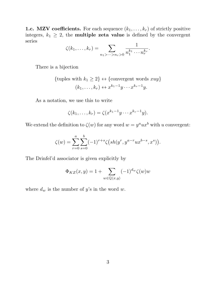**1.c. MZV coefficients.** For each sequence  $(k_1, \ldots, k_r)$  of strictly positive integers,  $k_1 \geq 2$ , the **multiple zeta value** is defined by the convergent series

$$
\zeta(k_1,\ldots,k_r)=\sum_{n_1>\cdots>n_r>0}\frac{1}{n_1^{k_1}\cdots n_r^{k_r}}.
$$

There is a bijection

{tuples with 
$$
k_1 \ge 2
$$
}  $\leftrightarrow$  {convergent words  $xuy$ }  
 $(k_1, ..., k_r) \leftrightarrow x^{k_1-1}y \cdots x^{k_r-1}y$ .

As a notation, we use this to write

$$
\zeta(k_1,\ldots,k_r)=\zeta(x^{k_1-1}y\cdots x^{k_r-1}y).
$$

We extend the definition to  $\zeta(w)$  for any word  $w = y^a u x^b$  with u convergent:

$$
\zeta(w) = \sum_{r=0}^{a} \sum_{s=0}^{b} (-1)^{r+s} \zeta\left(sh(y^r, y^{a-r}ux^{b-s}, x^s)\right).
$$

The Drinfel'd associator is given explicitly by

$$
\Phi_{KZ}(x,y) = 1 + \sum_{w \in \mathbb{Q}\langle x,y \rangle} (-1)^{d_w} \zeta(w)w
$$

where  $d_w$  is the number of y's in the word w.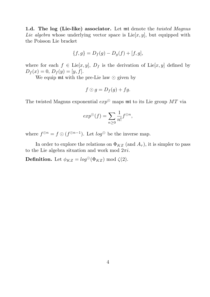1.d. The log (Lie-like) associator. Let mt denote the *twisted Magnus* Lie algebra whose underlying vector space is  $Lie[x, y]$ , but equipped with the Poisson Lie bracket

$$
\{f, g\} = D_f(g) - D_g(f) + [f, g],
$$

where for each  $f \in \text{Lie}[x, y], D_f$  is the derivation of  $\text{Lie}[x, y]$  defined by  $D_f(x) = 0, D_f(y) = [y, f].$ 

We equip  $m\text{t}$  with the pre-Lie law  $\odot$  given by

$$
f\odot g=D_f(g)+fg.
$$

The twisted Magnus exponential  $exp^{\odot}$  maps mt to its Lie group  $MT$  via

$$
exp^{\odot}(f) = \sum_{n \geq 0} \frac{1}{n!} f^{\odot n},
$$

where  $f^{\odot n} = f \odot (f^{\odot n-1})$ . Let  $log^{\odot}$  be the inverse map.

In order to explore the relations on  $\Phi_{KZ}$  (and  $A_{\tau}$ ), it is simpler to pass to the Lie algebra situation and work mod  $2\pi i$ .

**Definition.** Let  $\phi_{KZ} = log^{\odot}(\Phi_{KZ}) \text{ mod } \zeta(2)$ .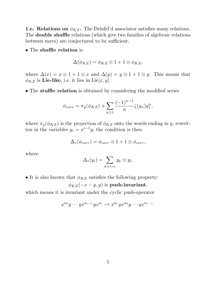**1.e. Relations on**  $\phi_{KZ}$ . The Drinfel'd associator satisfies many relations. The double shuffle relations (which give two families of algebraic relations between mzvs) are conjectured to be sufficient.

• The shuffle relation is

$$
\Delta(\phi_{KZ}) = \phi_{KZ} \otimes 1 + 1 \otimes \phi_{KZ},
$$

where  $\Delta(x) = x \otimes 1 + 1 \otimes x$  and  $\Delta(y) = y \otimes 1 + 1 \otimes y$ . This means that  $\phi_{KZ}$  is Lie-like, i.e. it lies in Lie $[x, y]$ .

• The stuffle relation is obtained by considering the modified series

$$
\phi_{corr} = \pi_y(\phi_{KZ}) + \sum_{n \ge 1} \frac{(-1)^{n-1}}{n} \zeta(y_n) y_1^n,
$$

where  $\pi_y(\phi_{KZ})$  is the projection of  $\phi_{KZ}$  onto the words ending in y, rewritten in the variables  $y_i = x^{i-1}y$ ; the condition is then

$$
\Delta_*(\phi_{corr}) = \phi_{corr} \otimes 1 + 1 \otimes \phi_{corr},
$$

where

$$
\Delta_*(y_i) = \sum_{k+l=i} y_k \otimes y_l.
$$

• It is also known that  $\phi_{KZ}$  satisfies the following property:

 $\phi_{KZ}(-x-y, y)$  is **push-invariant**,

which means it is invariant under the cyclic push-operator

$$
x^{a_0}y\cdots yx^{a_{r-1}}yx^{a_r} \mapsto x^{a_r}yx^{a_0}y\cdots yx^{a_{r-1}}.
$$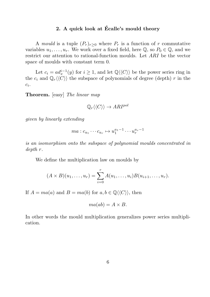## 2. A quick look at Écalle's mould theory

A mould is a tuple  $(P_r)_{r\geq 0}$  where  $P_r$  is a function of r commutative variables  $u_1, \ldots, u_r$ . We work over a fixed field, here  $\mathbb{Q}$ , so  $P_0 \in \mathbb{Q}$ , and we restrict our attention to rational-function moulds. Let ARI be the vector space of moulds with constant term 0.

Let  $c_i = ad_x^{i-1}(y)$  for  $i \geq 1$ , and let  $\mathbb{Q} \langle \langle C \rangle \rangle$  be the power series ring in the  $c_i$  and  $\mathbb{Q}_r\langle\langle\tilde{C}\rangle\rangle$  the subspace of polynomials of degree (depth) r in the  $c_i$ .

Theorem. [easy] The linear map

$$
\mathbb{Q}_r \langle \langle C \rangle \rangle \to ARI^{pol}
$$

given by linearly extending

$$
ma: c_{a_1} \cdots c_{a_r} \mapsto u_1^{a_1-1} \cdots u_r^{a_r-1}
$$

is an isomorphism onto the subspace of polynomial moulds concentrated in depth r.

We define the multiplication law on moulds by

$$
(A \times B)(u_1, \ldots, u_r) = \sum_{i=0}^r A(u_1, \ldots, u_i) B(u_{i+1}, \ldots, u_r).
$$

If  $A = ma(a)$  and  $B = ma(b)$  for  $a, b \in \mathbb{Q} \langle \langle C \rangle \rangle$ , then

$$
ma(ab) = A \times B.
$$

In other words the mould multiplication generalizes power series multiplication.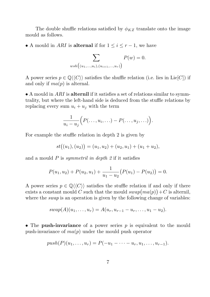The double shuffle relations satisfied by  $\phi_{KZ}$  translate onto the image mould as follows.

• A mould in *ARI* is **alternal** if for  $1 \leq i \leq r-1$ , we have

$$
\sum_{wsh((u_1,...,u_i),(u_{i+1},...,u_r))} P(w) = 0.
$$

A power series  $p \in \mathbb{Q} \langle \langle C \rangle \rangle$  satisfies the shuffle relation (i.e. lies in Lie[C]) if and only if  $ma(p)$  is alternal.

• A mould in ARI is alternil if it satisfies a set of relations similar to symmtrality, but where the left-hand side is deduced from the stuffle relations by replacing every sum  $u_i + u_j$  with the term

$$
\frac{1}{u_i-u_j}\Big(P(\ldots,u_i,\ldots)-P(\ldots,u_j,\ldots)\Big).
$$

For example the stuffle relation in depth 2 is given by

$$
st((u1),(u2)) = (u1,u2) + (u2,u1) + (u1+u2),
$$

and a mould  $P$  is *symmetril in depth*  $2$  if it satisfies

$$
P(u_1, u_2) + P(u_2, u_1) + \frac{1}{u_1 - u_2} (P(u_1) - P(u_2)) = 0.
$$

A power series  $p \in \mathbb{Q} \langle \langle C \rangle \rangle$  satisfies the stuffle relation if and only if there exists a constant mould C such that the mould  $swap(ma(p)) + C$  is alternil, where the *swap* is an operation is given by the following change of variables:

$$
swap(A)(u_1,\ldots,u_r) = A(u_r,u_{r-1}-u_r,\ldots,u_1-u_2).
$$

• The push-invariance of a power series  $p$  is equivalent to the mould push-invariance of  $ma(p)$  under the mould push operator

$$
push(P)(u_1, \ldots, u_r) = P(-u_1 - \cdots - u_r, u_1, \ldots, u_{r-1}).
$$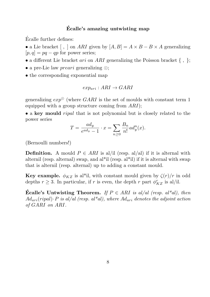## Ecalle's amazing untwisting map ´

Ecalle further defines: ´

• a Lie bracket  $[ , ]$  on ARI given by  $[A, B] = A \times B - B \times A$  generalizing  $[p, q] = pq - qp$  for power series;

 $\bullet$  a different Lie bracket  $ari$  on  $ARI$  generalizing the Poisson bracket { , };

- a pre-Lie law *preari* generalizing  $\odot$ ;
- the corresponding exponential map

$$
exp_{ari}:ARI\rightarrow GARI
$$

generalizing  $exp^{\odot}$  (where GARI is the set of moulds with constant term 1 equipped with a group structure coming from ARI);

• a key mould *ripal* that is not polynomial but is closely related to the power series

$$
T = \frac{ad_y}{e^{ad_y} - 1} \cdot x = \sum_{n \ge 0} \frac{B_n}{n!} ad_y^n(x).
$$

(Bernoulli numbers!)

**Definition.** A mould  $P \in ARI$  is al/il (resp. al/al) if it is alternal with alternil (resp. alternal) swap, and al\*il (resp. al\*il) if it is alternal with swap that is alternil (resp. alternal) up to adding a constant mould.

**Key example.**  $\phi_{KZ}$  is al<sup>\*</sup>il, with constant mould given by  $\zeta(r)/r$  in odd depths  $r \geq 3$ . In particular, if r is even, the depth r part  $\phi_{KZ}^r$  is al/il.

**Écalle's Untwisting Theorem.** If  $P \in ARI$  is al/al (resp. al\*al), then  $Ad_{ari}(ripal) \cdot P$  is al/al (resp. al\*al), where  $Ad_{ari}$  denotes the adjoint action of GARI on ARI.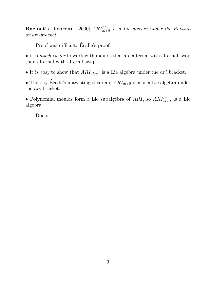**Racinet's theorem.** [2000]  $ARI^{pol}_{al*il}$  is a Lie algebra under the Poisson or ari-bracket.

Proof was difficult. Écalle's proof:

• It is *much easier* to work with moulds that are alternal with alternal swap than alternal with alternil swap.

• It is easy to show that  $ARI_{al*al}$  is a Lie algebra under the *ari* bracket.

• Then by Écalle's untwisting theorem,  $ARI_{al*il}$  is also a Lie algebra under the ari bracket.

• Polynomial moulds form a Lie subalgebra of ARI, so  $ARI^{pol}_{al*il}$  is a Lie algebra.

Done.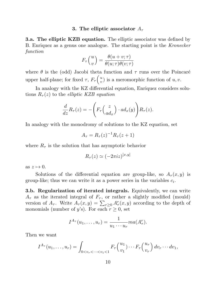#### 3. The elliptic associator  $A_{\tau}$

**3.a. The elliptic KZB equation.** The elliptic associator was defined by B. Enriquez as a genus one analogue. The starting point is the Kronecker function

$$
F_{\tau}\left(\frac{u}{v}\right) = \frac{\theta(u+v;\tau)}{\theta(u;\tau)\theta(v;\tau)}
$$

where  $\theta$  is the (odd) Jacobi theta function and  $\tau$  runs over the Poincaré upper half-plane; for fixed  $\tau$ ,  $F_{\tau}$   $\begin{pmatrix} u \\ v \end{pmatrix}$  $(v<sub>v</sub>)$  is a meromorphic function of  $u, v$ .

In analogy with the KZ differential equation, Enriquez considers solutions  $R_{\tau}(z)$  to the *elliptic KZB equation* 

$$
\frac{d}{dz}R_{\tau}(z) = -\left(F_{\tau}\left(\frac{z}{ad_x}\right) \cdot ad_x(y)\right)R_{\tau}(z).
$$

In analogy with the monodromy of solutions to the KZ equation, set

$$
A_{\tau} = R_{\tau}(z)^{-1} R_{\tau}(z+1)
$$

where  $R_{\tau}$  is the solution that has asymptotic behavior

$$
R_{\tau}(z) \simeq (-2\pi i z)^{[x,y]}
$$

as  $z \mapsto 0$ .

Solutions of the differential equation are group-like, so  $A_{\tau}(x, y)$  is group-like; thus we can write it as a power series in the variables  $c_i$ .

**3.b. Regularization of iterated integrals.** Equivalently, we can write  $A_{\tau}$  as the iterated integral of  $F_{\tau}$ , or rather a slightly modified (mould) version of  $A_{\tau}$ . Write  $A_{\tau}(x, y) = \sum_{r \geq 0} A_{\tau}^{r}(x, y)$  according to the depth of monomials (number of y's). For each  $r \geq 0$ , set

$$
I^{A_{\tau}}(u_1,\ldots,u_r)=\frac{1}{u_1\cdots u_r}ma(A_{\tau}^r).
$$

Then we want

$$
I^{A_{\tau}}(u_1,\ldots,u_r) = \int_{0 < v_r < \cdots < v_1 < 1} F_{\tau}\left(\frac{u_1}{v_1}\right) \cdots F_{\tau}\left(\frac{u_r}{v_r}\right) dv_r \cdots dv_1,
$$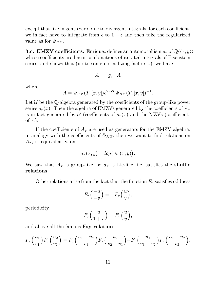except that like in genus zero, due to divergent integrals, for each coefficient, we in fact have to integrate from  $\epsilon$  to  $1 - \epsilon$  and then take the regularized value as for  $\Phi_{KZ}$ .

**3.c. EMZV coefficients.** Enriquez defines an automorphism  $g_{\tau}$  of  $\mathbb{Q}\langle\langle x, y \rangle\rangle$ whose coefficients are linear combinations of iterated integrals of Eisenstein series, and shows that (up to some normalizing factors...), we have

$$
A_{\tau} = g_{\tau} \cdot A
$$

where

$$
A = \Phi_{KZ}(T, [x, y])e^{2\pi i T} \Phi_{KZ}(T, [x, y])^{-1}.
$$

Let  $U$  be the Q-algebra generated by the coefficients of the group-like power series  $g_{\tau}(x)$ . Then the algebra of EMZVs generated by the coefficients of  $A_{\tau}$ is in fact generated by  $\mathcal U$  (coefficients of  $g_{\tau}(x)$  and the MZVs (coefficients of  $A$ ).

If the coefficients of  $A<sub>\tau</sub>$  are used as generators for the EMZV algebra, in analogy with the coefficients of  $\Phi_{KZ}$ , then we want to find relations on  $A_{\tau}$ , or equivalently, on

$$
a_{\tau}(x,y) = \log(A_{\tau}(x,y)).
$$

We saw that  $A_{\tau}$  is group-like, so  $a_{\tau}$  is Lie-like, i.e. satisfies the shuffle relations.

Other relations arise from the fact that the function  $F_{\tau}$  satisfies oddness

$$
F_{\tau}\left(\begin{array}{c} -u\\ -v \end{array}\right) = -F_{\tau}\left(\begin{array}{c} u\\ v \end{array}\right),
$$

periodicity

$$
F_{\tau}\left(\frac{u}{1+v}\right) = F_{\tau}\left(\frac{u}{v}\right),\,
$$

and above all the famous Fay relation

$$
F_{\tau}\left(\frac{u_1}{v_1}\right)F_{\tau}\left(\frac{u_2}{v_2}\right) = F_{\tau}\left(\frac{u_1 + u_2}{v_1}\right)F_{\tau}\left(\frac{u_2}{v_2 - v_1}\right) + F_{\tau}\left(\frac{u_1}{v_1 - v_2}\right)F_{\tau}\left(\frac{u_1 + u_2}{v_2}\right).
$$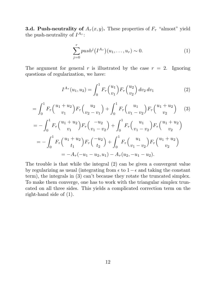**3.d. Push-neutrality of**  $A_{\tau}(x, y)$ . These properties of  $F_{\tau}$  "almost" yield the push-neutrality of  $I^{A_{\tau}}$ :

$$
\sum_{j=0}^{r} push^{j}(I^{A_{\tau}})(u_{1},\ldots,u_{r}) \sim 0.
$$
 (1)

The argument for general r is illustrated by the case  $r = 2$ . Ignoring questions of regularization, we have:

$$
I^{A_{\tau}}(u_1, u_2) = \int_0^1 F_{\tau}\left(\frac{u_1}{v_1}\right) F_{\tau}\left(\frac{u_2}{v_2}\right) dv_2 dv_1 \tag{2}
$$

$$
= \int_0^1 F_\tau \binom{u_1 + u_2}{v_1} F_\tau \binom{u_2}{v_2 - v_1} + \int_0^1 F_\tau \binom{u_1}{v_1 - v_2} F_\tau \binom{u_1 + u_2}{v_2} \tag{3}
$$

$$
= -\int_0^1 F_\tau \binom{u_1 + u_2}{v_1} F_\tau \binom{-u_2}{v_1 - v_2} + \int_0^1 F_\tau \binom{u_1}{v_1 - v_2} F_\tau \binom{u_1 + u_2}{v_2}
$$
  

$$
= -\int_0^1 F_\tau \binom{u_1 + u_2}{t_1} F_\tau \binom{-u_2}{t_2} + \int_0^1 F_\tau \binom{u_1}{v_1 - v_2} F_\tau \binom{u_1 + u_2}{v_2}
$$
  

$$
= -A_\tau (-u_1 - u_2, u_1) - A_\tau (u_2, -u_1 - u_2).
$$

The trouble is that while the integral (2) can be given a convergent value by regularizing as usual (integrating from  $\epsilon$  to  $1-\epsilon$  and taking the constant term), the integrals in (3) can't because they rotate the truncated simplex. To make them converge, one has to work with the triangular simplex truncated on all three sides. This yields a complicated correction term on the right-hand side of (1).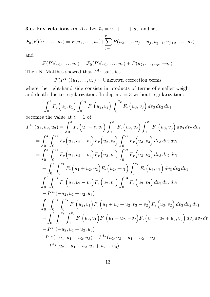**3.e. Fay relations on**  $A_{\tau}$ . Let  $\bar{u}_i = u_1 + \cdots + u_i$ , and set

$$
\mathcal{F}_0(P)(u_1,\ldots,u_r) = P(u_1,\ldots,u_r) + \sum_{j=1}^{r-1} P(u_2,\ldots,u_j,-\bar{u}_j,\bar{u}_{j+1},u_{j+2},\ldots,u_r)
$$

and

$$
\mathcal{F}(P)(u_1,\ldots,u_r)=\mathcal{F}_0(P)(u_1,\ldots,u_r)+P(u_2,\ldots,u_r,-\bar{u}_r).
$$

Then N. Matthes showed that  $I^{A_{\tau}}$  satisfies

 $\mathcal{F}(I^{A_{\tau}})(u_1,\ldots,u_r)=$  Unknown correction terms

where the right-hand side consists in products of terms of smaller weight and depth due to regularization. In depth  $r = 3$  without regularization:

$$
\int_0^1 F_\tau(u_1, v_1) \int_0^{u_1} F_\tau(u_2, v_2) \int_0^{u_2} F_\tau(u_3, v_3) dv_3 dv_2 dv_1
$$
  
the value at  $z = 1$  of

becomes the value at  $z = 1$  of

$$
I^{A_{\tau}}(u_{1}, u_{2}, u_{3}) = \int_{0}^{z} F_{\tau}(u_{1} - z, v_{1}) \int_{0}^{v_{1}} F_{\tau}(u_{2}, v_{2}) \int_{0}^{v_{2}} F_{\tau}(u_{3}, v_{3}) dv_{3} dv_{2} dv_{1}
$$
  
\n
$$
= \int_{0}^{z} \int_{0}^{v_{1}} F_{\tau}(u_{1}, v_{2} - v_{1}) F_{\tau}(u_{2}, v_{2}) \int_{0}^{v_{2}} F_{\tau}(u_{3}, v_{3}) dv_{3} dv_{2} dv_{1}
$$
  
\n
$$
= \int_{0}^{z} \int_{0}^{v_{1}} F_{\tau}(u_{1}, v_{2} - v_{1}) F_{\tau}(u_{2}, v_{1}) \int_{0}^{v_{2}} F_{\tau}(u_{3}, v_{3}) dv_{3} dv_{2} dv_{1}
$$
  
\n
$$
+ \int_{0}^{z} \int_{0}^{v_{1}} F_{\tau}(u_{1} + u_{2}, v_{2}) F_{\tau}(u_{2}, -v_{1}) \int_{0}^{v_{2}} F_{\tau}(u_{3}, v_{3}) dv_{3} dv_{2} dv_{1}
$$
  
\n
$$
= \int_{0}^{z} \int_{0}^{v_{1}} F_{\tau}(u_{1}, v_{2} - v_{1}) F_{\tau}(u_{2}, v_{1}) \int_{0}^{v_{2}} F_{\tau}(u_{3}, v_{3}) dv_{3} dv_{2} dv_{1}
$$
  
\n
$$
- I^{A_{\tau}}(-u_{2}, u_{1} + u_{2}, u_{3})
$$
  
\n
$$
= \int_{0}^{z} \int_{0}^{v_{1}} \int_{0}^{v_{2}} F_{\tau}(u_{2}, v_{1}) F_{\tau}(u_{1} + u_{2} + u_{2}, v_{3} - v_{2}) F_{\tau}(u_{3}, v_{2}) dv_{3} dv_{2} dv_{1}
$$
  
\n
$$
+ \int_{0}^{z} \int_{0}^{v_{1}} \int_{0}^{v_{2}} F_{\tau}(u_{2}, v_{1}) F_{\tau}(u_{1} + u_{2}, -v_{2}) F_{\tau}(u_{1} + u_{2} + u_{3}, v_{3}) dv_{3} dv_{2} dv_{1}
$$
  
\n
$$
- I^{A_{\tau}}(-
$$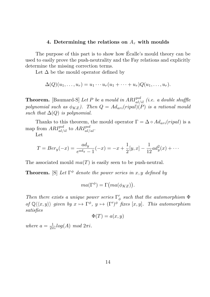## 4. Determining the relations on  $A_{\tau}$  with moulds

The purpose of this part is to show how Ecalle's mould theory can be used to easily prove the push-neutrality and the Fay relations and explicitly determine the missing correction terms.

Let  $\Delta$  be the mould operator defined by

$$
\Delta(Q)(u_1,\ldots,u_r)=u_1\cdots u_r(u_1+\cdots+u_r)Q(u_1,\ldots,u_r).
$$

**Theorem.** [Baumard-S] Let P be a mould in  $ARI^{pol}_{al/il}$  (i.e. a double shuffle polynomial such as  $\phi_{KZ}$ ). Then  $Q = Ad_{ari}(ripal)(P)$  is a rational mould such that  $\Delta(Q)$  is polynomial.

Thanks to this theorem, the mould operator  $\Gamma = \Delta \circ Ad_{ari}(ripal)$  is a map from  $ARI^{pol}_{al/il}$  to  $ARI^{pol}_{al/al}$ .

Let

$$
T = Ber_y(-x) = \frac{ad_y}{e^{ad_y} - 1}(-x) = -x + \frac{1}{2}[y, x] - \frac{1}{12}ad_y^2(x) + \cdots
$$

The associated mould  $ma(T)$  is easily seen to be push-neutral.

**Theorem.** [S] Let  $\Gamma^{\phi}$  denote the power series in x, y defined by

$$
ma(\Gamma^{\phi}) = \Gamma\big(ma(\phi_{KZ})\big).
$$

Then there exists a unique power series  $\Gamma'$  $\frac{\prime}{\phi}$  such that the automorphism  $\Phi$ of  $\mathbb{Q}\langle\langle x,y\rangle\rangle$  given by  $x \mapsto \Gamma^{\phi}$ ,  $y \mapsto (\Gamma')^{\phi}$  fixes  $[x,y]$ . This automorphism satisfies

$$
\Phi(T) = a(x, y)
$$

where  $a = \frac{1}{2\pi i} log(A) mod 2\pi i$ .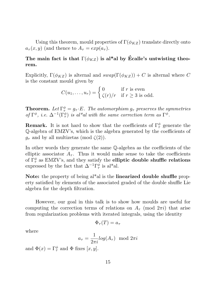Using this theorem, mould properties of  $\Gamma(\phi_{KZ})$  translate directly onto  $a_{\tau}(x, y)$  (and thence to  $A_{\tau} = exp(a_{\tau}).$ 

## The main fact is that  $\Gamma(\phi_{KZ})$  is al\*al by Ecalle's untwisting theorem.

Explicitly,  $\Gamma(\phi_{KZ})$  is alternal and  $swap(\Gamma(\phi_{KZ})) + C$  is alternal where C is the constant mould given by

$$
C(u_1,\ldots,u_r) = \begin{cases} 0 & \text{if } r \text{ is even} \\ \zeta(r)/r & \text{if } r \geq 3 \text{ is odd.} \end{cases}
$$

**Theorem.** Let  $\Gamma^{\phi}_{\tau} = g_{\tau} \cdot E$ . The automorphism  $g_{\tau}$  preserves the symmetries of  $\Gamma^{\phi}$ , i.e.  $\Delta^{-1}(\Gamma^{\phi}_{\tau})$  is al\*al with the same correction term as  $\Gamma^{\phi}$ .

**Remark.** It is not hard to show that the coefficients of  $\Gamma^{\phi}_{\tau}$  generate the Q-algebra of EMZV's, which is the algebra generated by the coefficients of  $g_{\tau}$  and by all multizetas (mod  $\zeta(2)$ ).

In other words they generate the same Q-algebra as the coefficients of the elliptic associator  $A_{\tau}$ . Thus it would make sense to take the coefficients of  $\Gamma^{\phi}_{\tau}$  as EMZV's, and they satisfy the elliptic double shuffle relations expressed by the fact that  $\Delta^{-1}\Gamma^{\phi}_{\tau}$  $_{\tau}^{\phi}$  is al\*al.

Note: the property of being al<sup>\*</sup>al is the **linearized double shuffle** property satisfied by elements of the associated graded of the double shuffle Lie algebra for the depth filtration.

However, our goal in this talk is to show how moulds are useful for computing the correction terms of relations on  $A_{\tau}$  (mod  $2\pi i$ ) that arise from regularization problems with iterated integrals, using the identity

$$
\Phi_{\tau}(T) = a_{\tau}
$$

where

$$
a_{\tau} = \frac{1}{2\pi i} log(A_{\tau}) \mod 2\pi i
$$

and  $\Phi(x) = \Gamma^{\phi}_{\tau}$  and  $\Phi$  fixes  $[x, y]$ .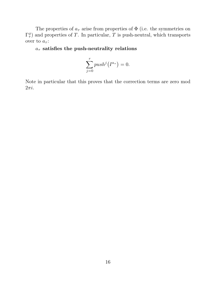The properties of  $a_{\tau}$  arise from properties of  $\Phi$  (i.e. the symmetries on  $\Gamma_\tau^\phi$  $(\tau)$  and properties of T. In particular, T is push-neutral, which transports over to  $a_{\tau}$ :

## $a_{\tau}$  satisfies the push-neutrality relations

$$
\sum_{j=0}^{r} push^{j}(I^{a_{\tau}}) = 0.
$$

Note in particular that this proves that the correction terms are zero mod  $2\pi i$ .